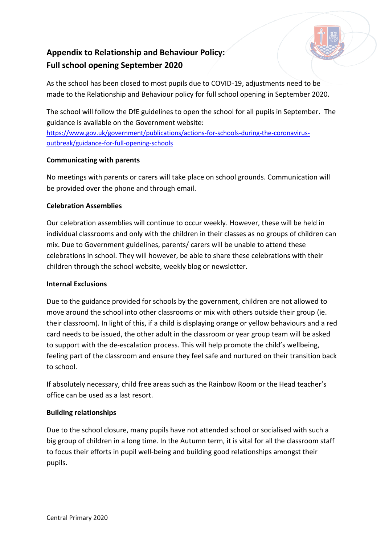# **Appendix to Relationship and Behaviour Policy: Full school opening September 2020**



The school will follow the DfE guidelines to open the school for all pupils in September. The guidance is available on the Government website:

[https://www.gov.uk/government/publications/actions-for-schools-during-the-coronavirus](https://www.gov.uk/government/publications/actions-for-schools-during-the-coronavirus-outbreak/guidance-for-full-opening-schools)[outbreak/guidance-for-full-opening-schools](https://www.gov.uk/government/publications/actions-for-schools-during-the-coronavirus-outbreak/guidance-for-full-opening-schools)

## **Communicating with parents**

No meetings with parents or carers will take place on school grounds. Communication will be provided over the phone and through email.

## **Celebration Assemblies**

Our celebration assemblies will continue to occur weekly. However, these will be held in individual classrooms and only with the children in their classes as no groups of children can mix. Due to Government guidelines, parents/ carers will be unable to attend these celebrations in school. They will however, be able to share these celebrations with their children through the school website, weekly blog or newsletter.

#### **Internal Exclusions**

Due to the guidance provided for schools by the government, children are not allowed to move around the school into other classrooms or mix with others outside their group (ie. their classroom). In light of this, if a child is displaying orange or yellow behaviours and a red card needs to be issued, the other adult in the classroom or year group team will be asked to support with the de-escalation process. This will help promote the child's wellbeing, feeling part of the classroom and ensure they feel safe and nurtured on their transition back to school.

If absolutely necessary, child free areas such as the Rainbow Room or the Head teacher's office can be used as a last resort.

# **Building relationships**

Due to the school closure, many pupils have not attended school or socialised with such a big group of children in a long time. In the Autumn term, it is vital for all the classroom staff to focus their efforts in pupil well-being and building good relationships amongst their pupils.